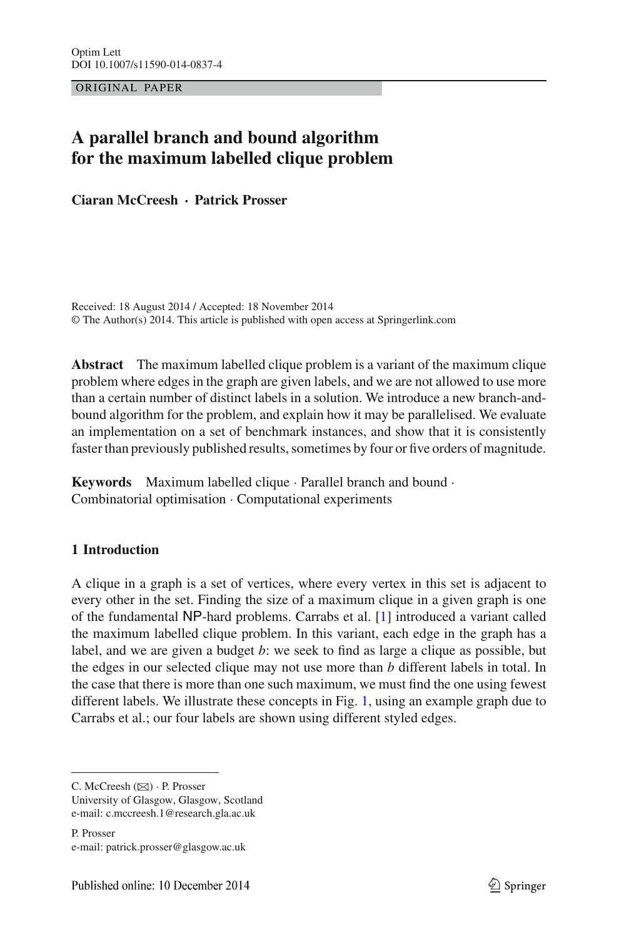ORIGINAL PAPER

# **A parallel branch and bound algorithm for the maximum labelled clique problem**

**Ciaran McCreesh · Patrick Prosser**

Received: 18 August 2014 / Accepted: 18 November 2014 © The Author(s) 2014. This article is published with open access at Springerlink.com

**Abstract** The maximum labelled clique problem is a variant of the maximum clique problem where edges in the graph are given labels, and we are not allowed to use more than a certain number of distinct labels in a solution. We introduce a new branch-andbound algorithm for the problem, and explain how it may be parallelised. We evaluate an implementation on a set of benchmark instances, and show that it is consistently faster than previously published results, sometimes by four or five orders of magnitude.

**Keywords** Maximum labelled clique · Parallel branch and bound · Combinatorial optimisation · Computational experiments

# **1 Introduction**

A clique in a graph is a set of vertices, where every vertex in this set is adjacent to every other in the set. Finding the size of a maximum clique in a given graph is one of the fundamental NP-hard problems. Carrabs et al. [\[1\]](#page-10-0) introduced a variant called the maximum labelled clique problem. In this variant, each edge in the graph has a label, and we are given a budget *b*: we seek to find as large a clique as possible, but the edges in our selected clique may not use more than *b* different labels in total. In the case that there is more than one such maximum, we must find the one using fewest different labels. We illustrate these concepts in Fig. [1,](#page-1-0) using an example graph due to Carrabs et al.; our four labels are shown using different styled edges.

P. Prosser e-mail: patrick.prosser@glasgow.ac.uk

C. McCreesh ( $\boxtimes$ ) · P. Prosser University of Glasgow, Glasgow, Scotland e-mail: c.mccreesh.1@research.gla.ac.uk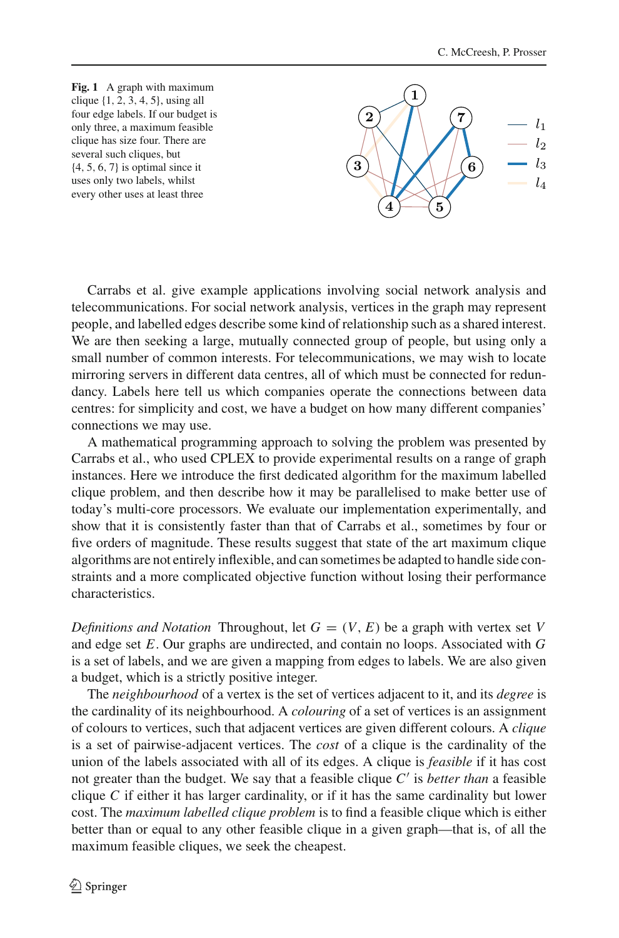<span id="page-1-0"></span>

Carrabs et al. give example applications involving social network analysis and telecommunications. For social network analysis, vertices in the graph may represent people, and labelled edges describe some kind of relationship such as a shared interest. We are then seeking a large, mutually connected group of people, but using only a small number of common interests. For telecommunications, we may wish to locate mirroring servers in different data centres, all of which must be connected for redundancy. Labels here tell us which companies operate the connections between data centres: for simplicity and cost, we have a budget on how many different companies' connections we may use.

A mathematical programming approach to solving the problem was presented by Carrabs et al., who used CPLEX to provide experimental results on a range of graph instances. Here we introduce the first dedicated algorithm for the maximum labelled clique problem, and then describe how it may be parallelised to make better use of today's multi-core processors. We evaluate our implementation experimentally, and show that it is consistently faster than that of Carrabs et al., sometimes by four or five orders of magnitude. These results suggest that state of the art maximum clique algorithms are not entirely inflexible, and can sometimes be adapted to handle side constraints and a more complicated objective function without losing their performance characteristics.

*Definitions and Notation* Throughout, let  $G = (V, E)$  be a graph with vertex set V and edge set *E*. Our graphs are undirected, and contain no loops. Associated with *G* is a set of labels, and we are given a mapping from edges to labels. We are also given a budget, which is a strictly positive integer.

The *neighbourhood* of a vertex is the set of vertices adjacent to it, and its *degree* is the cardinality of its neighbourhood. A *colouring* of a set of vertices is an assignment of colours to vertices, such that adjacent vertices are given different colours. A *clique* is a set of pairwise-adjacent vertices. The *cost* of a clique is the cardinality of the union of the labels associated with all of its edges. A clique is *feasible* if it has cost not greater than the budget. We say that a feasible clique  $\overline{C}'$  is *better than* a feasible clique *C* if either it has larger cardinality, or if it has the same cardinality but lower cost. The *maximum labelled clique problem* is to find a feasible clique which is either better than or equal to any other feasible clique in a given graph—that is, of all the maximum feasible cliques, we seek the cheapest.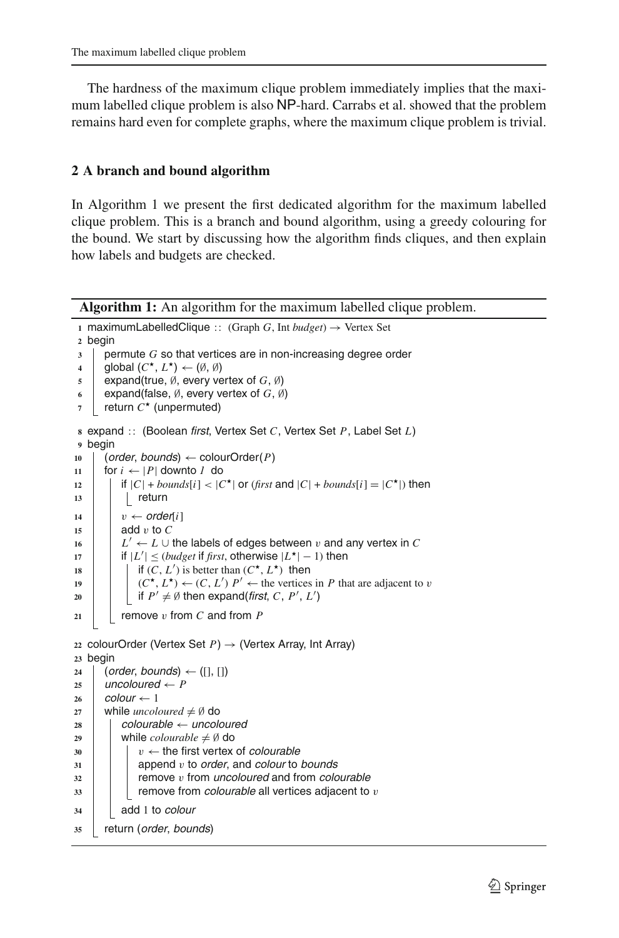The hardness of the maximum clique problem immediately implies that the maximum labelled clique problem is also NP-hard. Carrabs et al. showed that the problem remains hard even for complete graphs, where the maximum clique problem is trivial.

## **2 A branch and bound algorithm**

In Algorithm 1 we present the first dedicated algorithm for the maximum labelled clique problem. This is a branch and bound algorithm, using a greedy colouring for the bound. We start by discussing how the algorithm finds cliques, and then explain how labels and budgets are checked.

```
Algorithm 1: An algorithm for the maximum labelled clique problem.
 1 maximumLabelledClique \therefore (Graph G, Int budget) \rightarrow Vertex Set
2 begin
 3 permute G so that vertices are in non-increasing degree order
 4 global (C^{\star}, L^{\star}) \leftarrow (\emptyset, \emptyset)5 expand(true, ∅, every vertex of G, ∅)
 6 expand(false, \emptyset, every vertex of G, \emptyset)
 7 return C-
 (unpermuted)
 8 expand :: (Boolean first, Vertex Set C, Vertex Set P, Label Set L)
 9 begin
10 (order, bounds) ← colourOrder(P)
11 for i \leftarrow |P| downto 1 do
12 if |C| + bounds[i] < |C^*| or (first and |C| + bounds[i] = |C^*|) then
13 i return
14 v \leftarrow \text{order}[i]15 add v to C16 \begin{array}{|c|c|c|c|c|c|} \hline \rule{0pt}{16pt} & L' \leftarrow L \cup \text{the labels of edges between } v \text{ and any vertex in } C \hline \end{array}17 if |L'| \leq (budget \text{ if } first, \text{ otherwise } |L^{\star}| - 1) then
18 if (C, L') is better than (C^{\star}, L^{\star}) then
19 \left| \begin{array}{c} | \end{array} \right| (C^{\star}, L^{\star}) \leftarrow (C, L') P' \leftarrow the vertices in P that are adjacent to v
20 if P' \neq \emptyset then expand(first, C, P', L')
21 remove v from C and from P
22 colourOrder (Vertex Set P) \rightarrow (Vertex Array, Int Array)
23 begin
24 (order, bounds) \leftarrow ([], [])
25 uncoloured \leftarrow P26 colour \leftarrow 1
27 while uncoloured \neq Ø do
28 colourable ← uncoloured
29 While \text{colourable} \neq \emptyset do
30 | | v \leftarrow the first vertex of colourable
31 | | append v to order, and colour to bounds
32 Fig. remove v from uncoloured and from colourable
33 \parallel \parallel remove from colourable all vertices adjacent to v
34 add 1 to colour
35 return (order, bounds)
```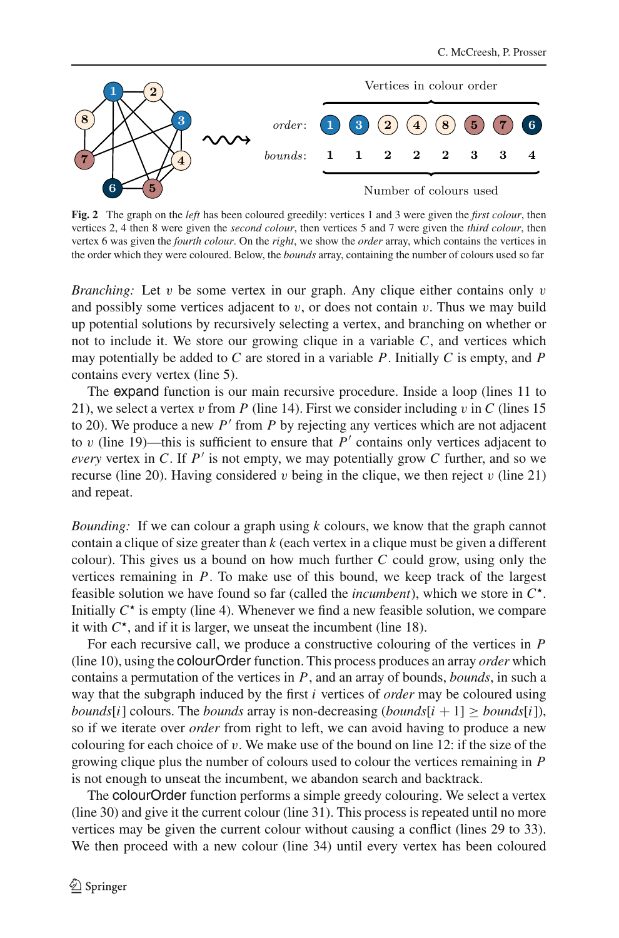

<span id="page-3-0"></span>**Fig. 2** The graph on the *left* has been coloured greedily: vertices 1 and 3 were given the *first colour*, then vertices 2, 4 then 8 were given the *second colour*, then vertices 5 and 7 were given the *third colour*, then vertex 6 was given the *fourth colour*. On the *right*, we show the *order* array, which contains the vertices in the order which they were coloured. Below, the *bounds* array, containing the number of colours used so far

*Branching:* Let v be some vertex in our graph. Any clique either contains only v and possibly some vertices adjacent to  $v$ , or does not contain  $v$ . Thus we may build up potential solutions by recursively selecting a vertex, and branching on whether or not to include it. We store our growing clique in a variable  $C$ , and vertices which may potentially be added to *C* are stored in a variable *P*. Initially *C* is empty, and *P* contains every vertex (line 5).

The expand function is our main recursive procedure. Inside a loop (lines 11 to 21), we select a vertex v from P (line 14). First we consider including v in C (lines 15) to 20). We produce a new P<sup>'</sup> from P by rejecting any vertices which are not adjacent to v (line 19)—this is sufficient to ensure that  $P'$  contains only vertices adjacent to *every* vertex in  $C$ . If  $P'$  is not empty, we may potentially grow  $C$  further, and so we recurse (line 20). Having considered  $v$  being in the clique, we then reject  $v$  (line 21) and repeat.

*Bounding:* If we can colour a graph using *k* colours, we know that the graph cannot contain a clique of size greater than *k* (each vertex in a clique must be given a different colour). This gives us a bound on how much further *C* could grow, using only the vertices remaining in *P*. To make use of this bound, we keep track of the largest feasible solution we have found so far (called the *incumbent*), which we store in *C*-. Initially  $C^*$  is empty (line 4). Whenever we find a new feasible solution, we compare it with  $C^*$ , and if it is larger, we unseat the incumbent (line 18).

For each recursive call, we produce a constructive colouring of the vertices in *P* (line 10), using the colourOrder function. This process produces an array *order* which contains a permutation of the vertices in *P*, and an array of bounds, *bounds*, in such a way that the subgraph induced by the first *i* vertices of *order* may be coloured using *bounds*[*i*] colours. The *bounds* array is non-decreasing (*bounds*[*i* + 1]  $\geq$  *bounds*[*i*]), so if we iterate over *order* from right to left, we can avoid having to produce a new colouring for each choice of  $v$ . We make use of the bound on line 12: if the size of the growing clique plus the number of colours used to colour the vertices remaining in *P* is not enough to unseat the incumbent, we abandon search and backtrack.

The colourOrder function performs a simple greedy colouring. We select a vertex (line 30) and give it the current colour (line 31). This process is repeated until no more vertices may be given the current colour without causing a conflict (lines 29 to 33). We then proceed with a new colour (line 34) until every vertex has been coloured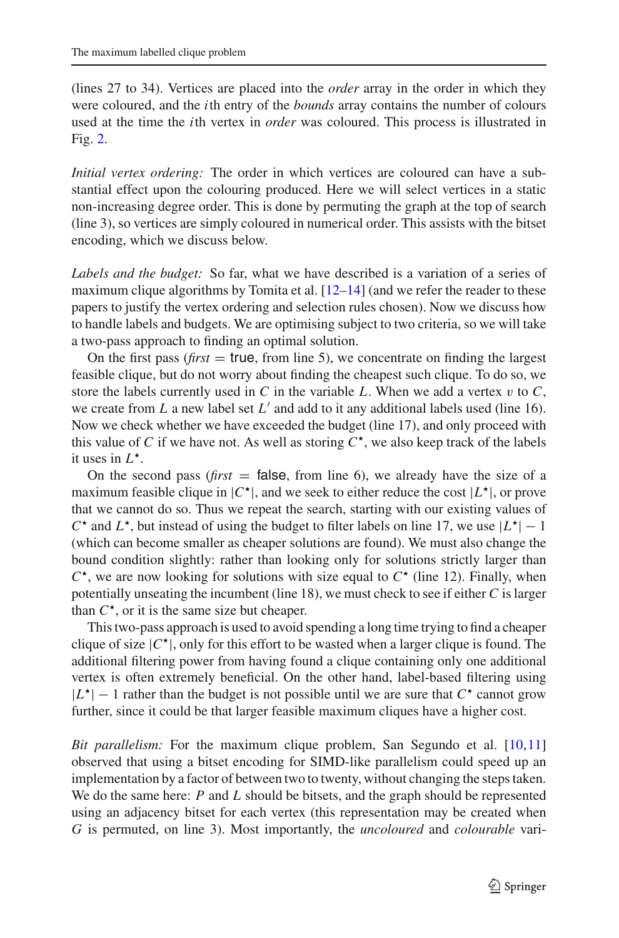(lines 27 to 34). Vertices are placed into the *order* array in the order in which they were coloured, and the *i*th entry of the *bounds* array contains the number of colours used at the time the *i*th vertex in *order* was coloured. This process is illustrated in Fig. [2.](#page-3-0)

*Initial vertex ordering:* The order in which vertices are coloured can have a substantial effect upon the colouring produced. Here we will select vertices in a static non-increasing degree order. This is done by permuting the graph at the top of search (line 3), so vertices are simply coloured in numerical order. This assists with the bitset encoding, which we discuss below.

*Labels and the budget:* So far, what we have described is a variation of a series of maximum clique algorithms by Tomita et al.  $[12-14]$  $[12-14]$  (and we refer the reader to these papers to justify the vertex ordering and selection rules chosen). Now we discuss how to handle labels and budgets. We are optimising subject to two criteria, so we will take a two-pass approach to finding an optimal solution.

On the first pass ( $\hat{t}$ *irst* = true, from line 5), we concentrate on finding the largest feasible clique, but do not worry about finding the cheapest such clique. To do so, we store the labels currently used in  $C$  in the variable  $L$ . When we add a vertex  $v$  to  $C$ , we create from  $L$  a new label set  $L'$  and add to it any additional labels used (line 16). Now we check whether we have exceeded the budget (line 17), and only proceed with this value of  $C$  if we have not. As well as storing  $C^*$ , we also keep track of the labels it uses in  $L^*$ .

On the second pass ( $\hat{f}$ *irst* = false, from line 6), we already have the size of a maximum feasible clique in  $|C^*|$ , and we seek to either reduce the cost  $|L^*|$ , or prove that we cannot do so. Thus we repeat the search, starting with our existing values of  $C^*$  and  $L^*$ , but instead of using the budget to filter labels on line 17, we use  $|L^*| - 1$ (which can become smaller as cheaper solutions are found). We must also change the bound condition slightly: rather than looking only for solutions strictly larger than  $C^*$ , we are now looking for solutions with size equal to  $C^*$  (line 12). Finally, when potentially unseating the incumbent (line 18), we must check to see if either *C* is larger than  $C^*$ , or it is the same size but cheaper.

This two-pass approach is used to avoid spending a long time trying to find a cheaper clique of size |*C*-|, only for this effort to be wasted when a larger clique is found. The additional filtering power from having found a clique containing only one additional vertex is often extremely beneficial. On the other hand, label-based filtering using  $|L^{\star}| - 1$  rather than the budget is not possible until we are sure that  $C^{\star}$  cannot grow further, since it could be that larger feasible maximum cliques have a higher cost.

*Bit parallelism:* For the maximum clique problem, San Segundo et al. [\[10,](#page-10-2)[11\]](#page-10-3) observed that using a bitset encoding for SIMD-like parallelism could speed up an implementation by a factor of between two to twenty, without changing the steps taken. We do the same here: *P* and *L* should be bitsets, and the graph should be represented using an adjacency bitset for each vertex (this representation may be created when *G* is permuted, on line 3). Most importantly, the *uncoloured* and *colourable* vari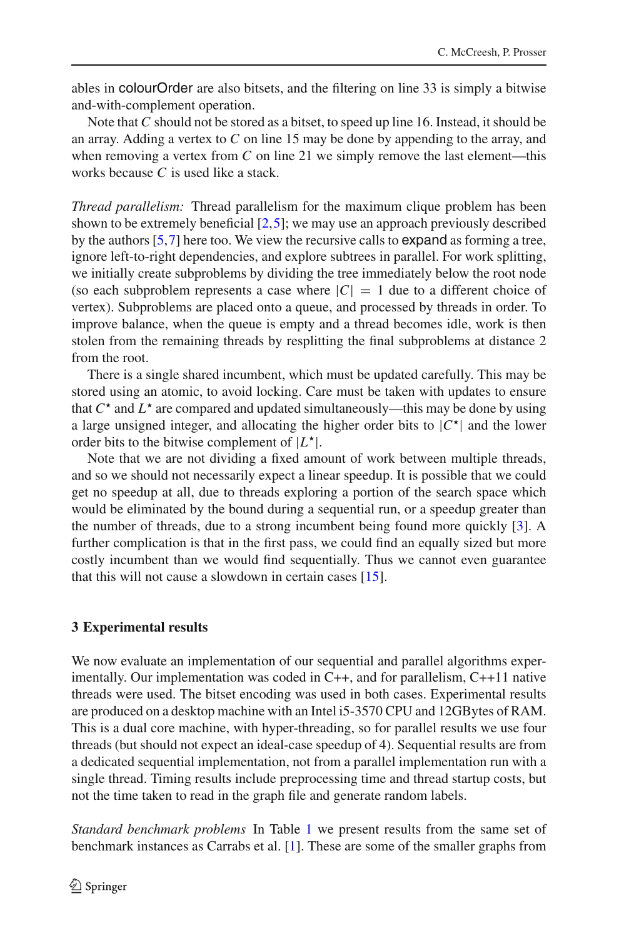ables in colourOrder are also bitsets, and the filtering on line 33 is simply a bitwise and-with-complement operation.

Note that *C* should not be stored as a bitset, to speed up line 16. Instead, it should be an array. Adding a vertex to *C* on line 15 may be done by appending to the array, and when removing a vertex from  $C$  on line 21 we simply remove the last element—this works because *C* is used like a stack.

*Thread parallelism:* Thread parallelism for the maximum clique problem has been shown to be extremely beneficial [\[2](#page-10-4)[,5](#page-10-5)]; we may use an approach previously described by the authors [\[5,](#page-10-5)[7\]](#page-10-6) here too. We view the recursive calls to expand as forming a tree, ignore left-to-right dependencies, and explore subtrees in parallel. For work splitting, we initially create subproblems by dividing the tree immediately below the root node (so each subproblem represents a case where  $|C| = 1$  due to a different choice of vertex). Subproblems are placed onto a queue, and processed by threads in order. To improve balance, when the queue is empty and a thread becomes idle, work is then stolen from the remaining threads by resplitting the final subproblems at distance 2 from the root.

There is a single shared incumbent, which must be updated carefully. This may be stored using an atomic, to avoid locking. Care must be taken with updates to ensure that  $C^*$  and  $L^*$  are compared and updated simultaneously—this may be done by using a large unsigned integer, and allocating the higher order bits to  $|C^{\star}|$  and the lower order bits to the bitwise complement of  $|L^{\star}|$ .

Note that we are not dividing a fixed amount of work between multiple threads, and so we should not necessarily expect a linear speedup. It is possible that we could get no speedup at all, due to threads exploring a portion of the search space which would be eliminated by the bound during a sequential run, or a speedup greater than the number of threads, due to a strong incumbent being found more quickly [\[3\]](#page-10-7). A further complication is that in the first pass, we could find an equally sized but more costly incumbent than we would find sequentially. Thus we cannot even guarantee that this will not cause a slowdown in certain cases [\[15](#page-11-1)].

#### **3 Experimental results**

We now evaluate an implementation of our sequential and parallel algorithms experimentally. Our implementation was coded in C++, and for parallelism, C++11 native threads were used. The bitset encoding was used in both cases. Experimental results are produced on a desktop machine with an Intel i5-3570 CPU and 12GBytes of RAM. This is a dual core machine, with hyper-threading, so for parallel results we use four threads (but should not expect an ideal-case speedup of 4). Sequential results are from a dedicated sequential implementation, not from a parallel implementation run with a single thread. Timing results include preprocessing time and thread startup costs, but not the time taken to read in the graph file and generate random labels.

*Standard benchmark problems* In Table [1](#page-6-0) we present results from the same set of benchmark instances as Carrabs et al. [\[1](#page-10-0)]. These are some of the smaller graphs from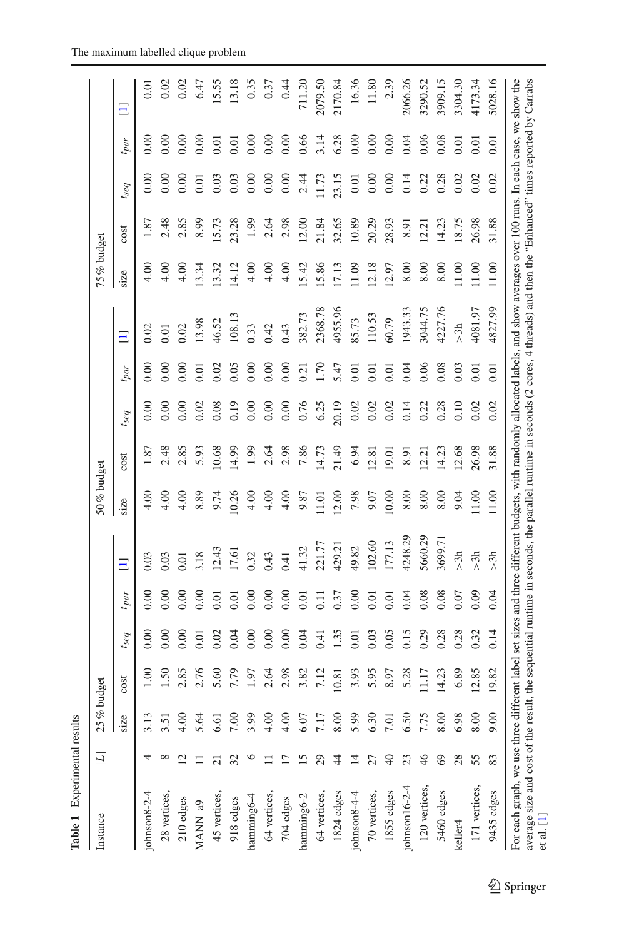<span id="page-6-0"></span>

| Ş                 |
|-------------------|
|                   |
| i ere i<br>í<br>į |
| ń                 |
|                   |
|                   |
|                   |

| Instance                       | 르              | $25%$ bud       | get   |           |                  |         | 50 % budget   |       |           |      |         | 75% budget     |       |       |                   |         |
|--------------------------------|----------------|-----------------|-------|-----------|------------------|---------|---------------|-------|-----------|------|---------|----------------|-------|-------|-------------------|---------|
|                                |                | size            | cost  | $t$ seq   | t <sub>par</sub> | Ξ       | size          | cost  | tseq      | tpar | Ξ       | size           | cost  | tseq  | tpar              | Ξ       |
| $\frac{1}{\text{ohmson8-2-4}}$ |                | 3.13            | 00.1  | $_{0.00}$ | 0.00             | 0.03    | $\frac{8}{1}$ | 1.87  | $_{0.00}$ | 0.00 | 0.02    | $\frac{6}{10}$ | 1.87  | 0.00  | 0.00              | 0.01    |
| 28 vertices,                   | $^{\circ}$     | 3.51            | 1.50  | 0.00      | 0.00             | 0.03    | 4.00          | 2.48  | 0.00      | 0.00 | 0.01    | 4.00           | 2.48  | 0.00  | 0.00              | 0.02    |
| 210 edges                      | $\overline{c}$ | $\frac{6}{4}$   | 2.85  | 0.00      | 0.00             | 0.01    | 4.00          | 2.85  | 0.00      | 0.00 | 0.02    | 4.00           | 2.85  | 0.00  | 0.00              | 0.02    |
| MANN_a9                        |                | 5.64            | 2.76  | 0.01      | 0.00             | 3.18    | 8.89          | 5.93  | 0.02      | 0.01 | 13.98   | 13.34          | 8.99  | 0.01  | 0.00              | 6.47    |
| 45 vertices                    | ಸ              | 6.61            | 5.60  | 0.02      | 0.01             | 12.43   | 9.74          | 10.68 | 0.08      | 0.02 | 46.52   | 13.32          | 15.73 | 0.03  | $\overline{0}$ .  | 15.55   |
| 918 edges                      | 32             | 7.00            | 7.79  | 0.04      | 0.01             | 17.61   | 10.26         | 14.99 | 0.19      | 0.05 | 108.13  | 14.12          | 23.28 | 0.03  | $\overline{0.0}$  | 13.18   |
| hamming6-4                     | ∘              | 3.99            | 1.97  | 0.00      | 0.00             | 0.32    | 4.00          | 1.99  | 0.00      | 0.00 | 0.33    | 4.00           | 1.99  | 0.00  | 0.00              | 0.35    |
| 64 vertices                    |                | 00 <sub>1</sub> | 2.64  | 0.00      | 0.00             | 0.43    | 4.00          | 2.64  | 0.00      | 0.00 | 0.42    | 4.00           | 2.64  | 0.00  | 0.00              | 0.37    |
| 704 edges                      |                | $\frac{6}{4}$   | 2.98  | 0.00      | 0.00             | 0.41    | 4.00          | 2.98  | 0.00      | 0.00 | 0.43    | 4.00           | 2.98  | 0.00  | 0.00              | 0.44    |
| hamming6-2                     | 51             | 6.07            | 3.82  | 0.04      | 0.01             | 41.32   | 9.87          | 7.86  | 0.76      | 0.21 | 382.73  | 15.42          | 12.00 | 2.44  | 0.66              | 711.20  |
| 64 vertices                    | 29             | 7.17            | 7.12  | 0.41      | $\Xi$            | 221.77  | 11.01         | 14.73 | 6.25      | 1.70 | 2368.78 | 15.86          | 21.84 | 11.73 | 3.14              | 2079.50 |
| 1824 edges                     | 4              | 8.00            | 0.81  | 1.35      | 0.37             | 429.21  | 12.00         | 21.49 | 20.19     | 5.47 | 4955.96 | 17.13          | 32.65 | 23.15 | 6.28              | 2170.84 |
| johnson8-4-4                   | $\vec{4}$      | 5.99            | 3.93  | 0.01      | 0.00             | 49.82   | 7.98          | 6.94  | 0.02      | 0.01 | 85.73   | 11.09          | 10.89 | 0.01  | 0.00              | 16.36   |
| 70 vertices                    | 27             | 6.30            | 5.95  | 0.03      | 0.01             | 102.60  | 9.07          | 12.81 | 0.02      | 0.01 | 110.53  | 12.18          | 20.29 | 0.00  | 0.00              | 11.80   |
| 1855 edges                     | $\theta$       | <b>7.01</b>     | 8.97  | 0.05      | 0.01             | 177.13  | 10.00         | 19.01 | 0.02      | 0.01 | 60.79   | 12.97          | 28.93 | 0.00  | 0.00              | 2.39    |
| johnson $16-2-4$               |                | 6.50            | 5.28  | 0.15      | 0.04             | 4248.29 | 8.00          | 8.91  | 0.14      | 0.04 | 1943.33 | 8.00           | 8.91  | 0.14  | 0.04              | 2066.26 |
| 120 vertices                   |                | 7.75            | 1.17  | 0.29      | 0.08             | 5660.29 | 8.00          | 12.21 | 0.22      | 0.06 | 3044.75 | 8.00           | 12.21 | 0.22  | 0.06              | 3290.52 |
| 5460 edges                     | $\Im$          | 8.00            | 4.23  | 0.28      | 0.08             | 3699.71 | 8.00          | 14.23 | 0.28      | 0.08 | 4227.76 | 8.00           | 14.23 | 0.28  | 0.08              | 3909.15 |
| keller4                        | $^{28}$        | 6.98            | 6.89  | 0.28      | 0.07             | $>3h$   | 9.04          | 12.68 | 0.10      | 0.03 | >3h     | 1.00           | 18.75 | 0.02  | $\overline{0}.01$ | 3304.30 |
| 171 vertices.                  | 55             | 8.00            | 2.85  | 0.32      | 0.09             | >3h     | 1.00          | 26.98 | 0.02      | 0.01 | 4081.97 | 11.00          | 26.98 | 0.02  | 0.01              | 4173.34 |
| 9435 edges                     | 83             | 00.6            | 19.82 | 0.14      | 0.04             | >3h     | 11.00         | 31.88 | 0.02      | 0.01 | 1827.99 | 11.00          | 31.88 | 0.02  | 0.01              | 5028.16 |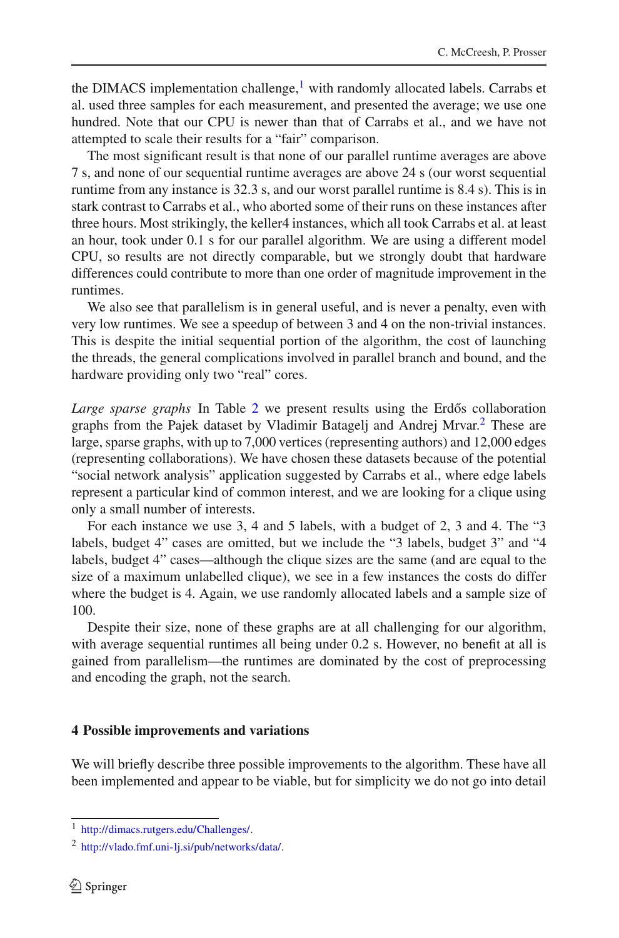the DIMACS implementation challenge, $<sup>1</sup>$  $<sup>1</sup>$  $<sup>1</sup>$  with randomly allocated labels. Carrabs et</sup> al. used three samples for each measurement, and presented the average; we use one hundred. Note that our CPU is newer than that of Carrabs et al., and we have not attempted to scale their results for a "fair" comparison.

The most significant result is that none of our parallel runtime averages are above 7 s, and none of our sequential runtime averages are above 24 s (our worst sequential runtime from any instance is 32.3 s, and our worst parallel runtime is 8.4 s). This is in stark contrast to Carrabs et al., who aborted some of their runs on these instances after three hours. Most strikingly, the keller4 instances, which all took Carrabs et al. at least an hour, took under 0.1 s for our parallel algorithm. We are using a different model CPU, so results are not directly comparable, but we strongly doubt that hardware differences could contribute to more than one order of magnitude improvement in the runtimes.

We also see that parallelism is in general useful, and is never a penalty, even with very low runtimes. We see a speedup of between 3 and 4 on the non-trivial instances. This is despite the initial sequential portion of the algorithm, the cost of launching the threads, the general complications involved in parallel branch and bound, and the hardware providing only two "real" cores.

*Large sparse graphs* In Table [2](#page-8-0) we present results using the Erdős collaboration graphs from the Pajek dataset by Vladimir Batagelj and Andrej Mrvar.[2](#page-7-1) These are large, sparse graphs, with up to 7,000 vertices (representing authors) and 12,000 edges (representing collaborations). We have chosen these datasets because of the potential "social network analysis" application suggested by Carrabs et al., where edge labels represent a particular kind of common interest, and we are looking for a clique using only a small number of interests.

For each instance we use 3, 4 and 5 labels, with a budget of 2, 3 and 4. The "3 labels, budget 4" cases are omitted, but we include the "3 labels, budget 3" and "4 labels, budget 4" cases—although the clique sizes are the same (and are equal to the size of a maximum unlabelled clique), we see in a few instances the costs do differ where the budget is 4. Again, we use randomly allocated labels and a sample size of 100.

Despite their size, none of these graphs are at all challenging for our algorithm, with average sequential runtimes all being under 0.2 s. However, no benefit at all is gained from parallelism—the runtimes are dominated by the cost of preprocessing and encoding the graph, not the search.

#### **4 Possible improvements and variations**

We will briefly describe three possible improvements to the algorithm. These have all been implemented and appear to be viable, but for simplicity we do not go into detail

<sup>1</sup> [http://dimacs.rutgers.edu/Challenges/.](http://dimacs.rutgers.edu/Challenges/)

<span id="page-7-1"></span><span id="page-7-0"></span><sup>2</sup> [http://vlado.fmf.uni-lj.si/pub/networks/data/.](http://vlado.fmf.uni-lj.si/pub/networks/data/)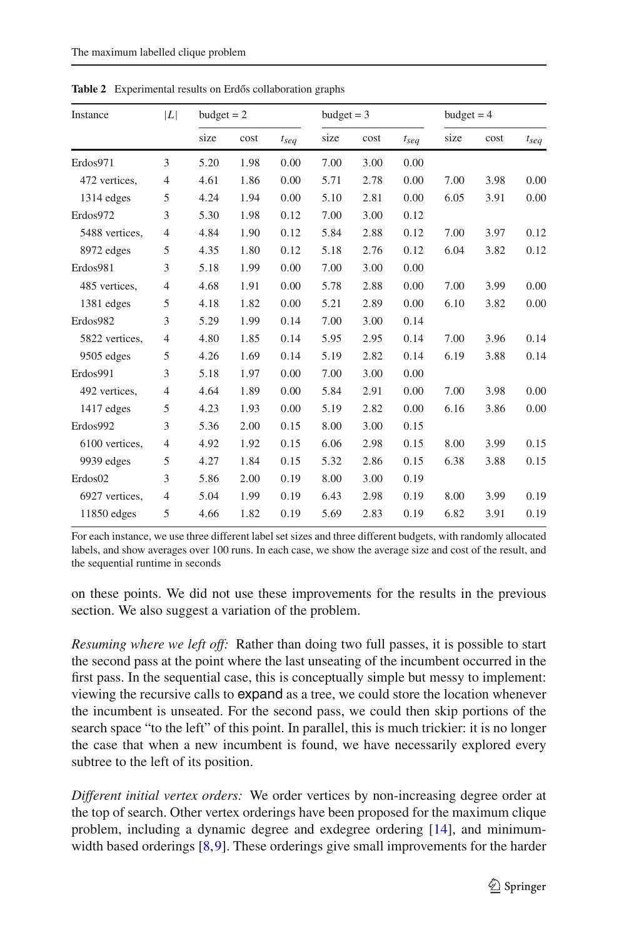<span id="page-8-0"></span>

| Instance       | L              | $budget = 2$ |      |           | $budget = 3$ |      |           | $budget = 4$ |      |           |
|----------------|----------------|--------------|------|-----------|--------------|------|-----------|--------------|------|-----------|
|                |                | size         | cost | $t_{seq}$ | size         | cost | $t_{seq}$ | size         | cost | $t_{seq}$ |
| Erdos971       | 3              | 5.20         | 1.98 | 0.00      | 7.00         | 3.00 | 0.00      |              |      |           |
| 472 vertices,  | $\overline{4}$ | 4.61         | 1.86 | 0.00      | 5.71         | 2.78 | 0.00      | 7.00         | 3.98 | 0.00      |
| 1314 edges     | 5              | 4.24         | 1.94 | 0.00      | 5.10         | 2.81 | 0.00      | 6.05         | 3.91 | 0.00      |
| Erdos972       | 3              | 5.30         | 1.98 | 0.12      | 7.00         | 3.00 | 0.12      |              |      |           |
| 5488 vertices, | $\overline{4}$ | 4.84         | 1.90 | 0.12      | 5.84         | 2.88 | 0.12      | 7.00         | 3.97 | 0.12      |
| 8972 edges     | 5              | 4.35         | 1.80 | 0.12      | 5.18         | 2.76 | 0.12      | 6.04         | 3.82 | 0.12      |
| Erdos981       | 3              | 5.18         | 1.99 | 0.00      | 7.00         | 3.00 | 0.00      |              |      |           |
| 485 vertices,  | $\overline{4}$ | 4.68         | 1.91 | 0.00      | 5.78         | 2.88 | 0.00      | 7.00         | 3.99 | 0.00      |
| 1381 edges     | 5              | 4.18         | 1.82 | 0.00      | 5.21         | 2.89 | 0.00      | 6.10         | 3.82 | 0.00      |
| Erdos982       | 3              | 5.29         | 1.99 | 0.14      | 7.00         | 3.00 | 0.14      |              |      |           |
| 5822 vertices. | $\overline{4}$ | 4.80         | 1.85 | 0.14      | 5.95         | 2.95 | 0.14      | 7.00         | 3.96 | 0.14      |
| 9505 edges     | 5              | 4.26         | 1.69 | 0.14      | 5.19         | 2.82 | 0.14      | 6.19         | 3.88 | 0.14      |
| Erdos991       | 3              | 5.18         | 1.97 | 0.00      | 7.00         | 3.00 | 0.00      |              |      |           |
| 492 vertices,  | $\overline{4}$ | 4.64         | 1.89 | 0.00      | 5.84         | 2.91 | 0.00      | 7.00         | 3.98 | 0.00      |
| 1417 edges     | 5              | 4.23         | 1.93 | 0.00      | 5.19         | 2.82 | 0.00      | 6.16         | 3.86 | 0.00      |
| Erdos992       | 3              | 5.36         | 2.00 | 0.15      | 8.00         | 3.00 | 0.15      |              |      |           |
| 6100 vertices, | $\overline{4}$ | 4.92         | 1.92 | 0.15      | 6.06         | 2.98 | 0.15      | 8.00         | 3.99 | 0.15      |
| 9939 edges     | 5              | 4.27         | 1.84 | 0.15      | 5.32         | 2.86 | 0.15      | 6.38         | 3.88 | 0.15      |
| Erdos02        | 3              | 5.86         | 2.00 | 0.19      | 8.00         | 3.00 | 0.19      |              |      |           |
| 6927 vertices, | $\overline{4}$ | 5.04         | 1.99 | 0.19      | 6.43         | 2.98 | 0.19      | 8.00         | 3.99 | 0.19      |
| 11850 edges    | 5              | 4.66         | 1.82 | 0.19      | 5.69         | 2.83 | 0.19      | 6.82         | 3.91 | 0.19      |

**Table 2** Experimental results on Erdős collaboration graphs

For each instance, we use three different label set sizes and three different budgets, with randomly allocated labels, and show averages over 100 runs. In each case, we show the average size and cost of the result, and the sequential runtime in seconds

on these points. We did not use these improvements for the results in the previous section. We also suggest a variation of the problem.

*Resuming where we left off:* Rather than doing two full passes, it is possible to start the second pass at the point where the last unseating of the incumbent occurred in the first pass. In the sequential case, this is conceptually simple but messy to implement: viewing the recursive calls to expand as a tree, we could store the location whenever the incumbent is unseated. For the second pass, we could then skip portions of the search space "to the left" of this point. In parallel, this is much trickier: it is no longer the case that when a new incumbent is found, we have necessarily explored every subtree to the left of its position.

*Different initial vertex orders:* We order vertices by non-increasing degree order at the top of search. Other vertex orderings have been proposed for the maximum clique problem, including a dynamic degree and exdegree ordering [\[14\]](#page-11-0), and minimum-width based orderings [\[8](#page-10-8)[,9](#page-10-9)]. These orderings give small improvements for the harder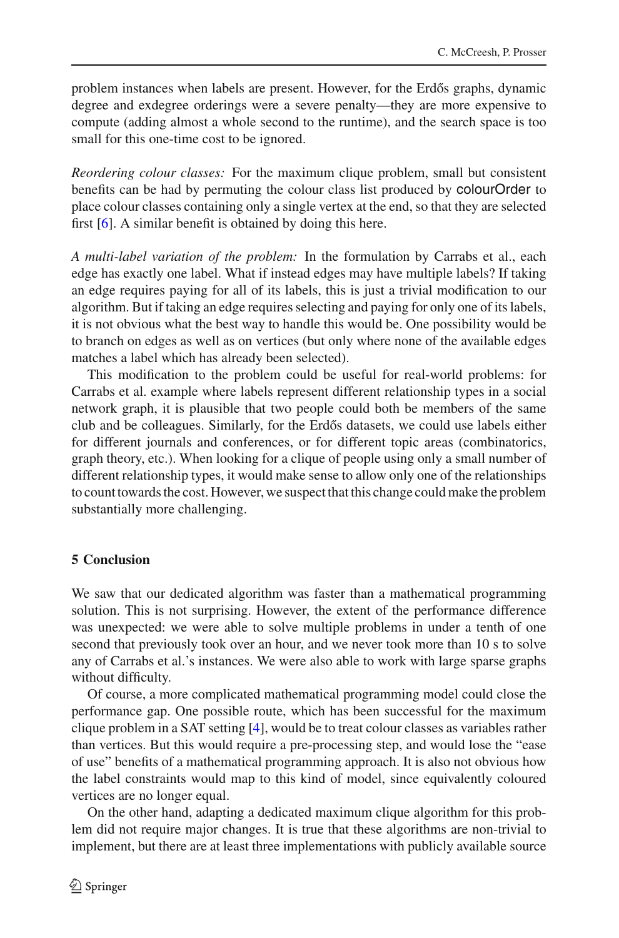problem instances when labels are present. However, for the Erdős graphs, dynamic degree and exdegree orderings were a severe penalty—they are more expensive to compute (adding almost a whole second to the runtime), and the search space is too small for this one-time cost to be ignored.

*Reordering colour classes:* For the maximum clique problem, small but consistent benefits can be had by permuting the colour class list produced by colourOrder to place colour classes containing only a single vertex at the end, so that they are selected first [\[6](#page-10-10)]. A similar benefit is obtained by doing this here.

*A multi-label variation of the problem:* In the formulation by Carrabs et al., each edge has exactly one label. What if instead edges may have multiple labels? If taking an edge requires paying for all of its labels, this is just a trivial modification to our algorithm. But if taking an edge requires selecting and paying for only one of its labels, it is not obvious what the best way to handle this would be. One possibility would be to branch on edges as well as on vertices (but only where none of the available edges matches a label which has already been selected).

This modification to the problem could be useful for real-world problems: for Carrabs et al. example where labels represent different relationship types in a social network graph, it is plausible that two people could both be members of the same club and be colleagues. Similarly, for the Erdős datasets, we could use labels either for different journals and conferences, or for different topic areas (combinatorics, graph theory, etc.). When looking for a clique of people using only a small number of different relationship types, it would make sense to allow only one of the relationships to count towards the cost. However, we suspect that this change could make the problem substantially more challenging.

### **5 Conclusion**

We saw that our dedicated algorithm was faster than a mathematical programming solution. This is not surprising. However, the extent of the performance difference was unexpected: we were able to solve multiple problems in under a tenth of one second that previously took over an hour, and we never took more than 10 s to solve any of Carrabs et al.'s instances. We were also able to work with large sparse graphs without difficulty.

Of course, a more complicated mathematical programming model could close the performance gap. One possible route, which has been successful for the maximum clique problem in a SAT setting [\[4\]](#page-10-11), would be to treat colour classes as variables rather than vertices. But this would require a pre-processing step, and would lose the "ease of use" benefits of a mathematical programming approach. It is also not obvious how the label constraints would map to this kind of model, since equivalently coloured vertices are no longer equal.

On the other hand, adapting a dedicated maximum clique algorithm for this problem did not require major changes. It is true that these algorithms are non-trivial to implement, but there are at least three implementations with publicly available source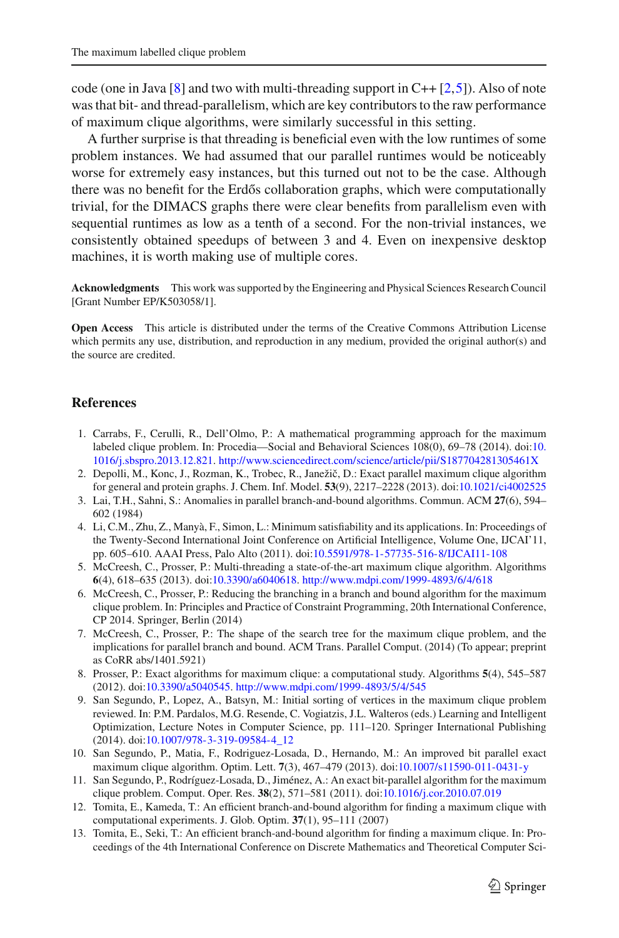code (one in Java [\[8\]](#page-10-8) and two with multi-threading support in  $C_{++}$  [\[2](#page-10-4),[5\]](#page-10-5)). Also of note was that bit- and thread-parallelism, which are key contributors to the raw performance of maximum clique algorithms, were similarly successful in this setting.

A further surprise is that threading is beneficial even with the low runtimes of some problem instances. We had assumed that our parallel runtimes would be noticeably worse for extremely easy instances, but this turned out not to be the case. Although there was no benefit for the Erdős collaboration graphs, which were computationally trivial, for the DIMACS graphs there were clear benefits from parallelism even with sequential runtimes as low as a tenth of a second. For the non-trivial instances, we consistently obtained speedups of between 3 and 4. Even on inexpensive desktop machines, it is worth making use of multiple cores.

**Acknowledgments** This work was supported by the Engineering and Physical Sciences Research Council [Grant Number EP/K503058/1].

**Open Access** This article is distributed under the terms of the Creative Commons Attribution License which permits any use, distribution, and reproduction in any medium, provided the original author(s) and the source are credited.

#### <span id="page-10-0"></span>**References**

- 1. Carrabs, F., Cerulli, R., Dell'Olmo, P.: A mathematical programming approach for the maximum labeled clique problem. In: Procedia—Social and Behavioral Sciences 108(0), 69–78 (2014). doi[:10.](http://dx.doi.org/10.1016/j.sbspro.2013.12.821) [1016/j.sbspro.2013.12.821.](http://dx.doi.org/10.1016/j.sbspro.2013.12.821) <http://www.sciencedirect.com/science/article/pii/S187704281305461X>
- <span id="page-10-4"></span>2. Depolli, M., Konc, J., Rozman, K., Trobec, R., Janežič, D.: Exact parallel maximum clique algorithm for general and protein graphs. J. Chem. Inf. Model. **53**(9), 2217–2228 (2013). doi[:10.1021/ci4002525](http://dx.doi.org/10.1021/ci4002525)
- <span id="page-10-7"></span>3. Lai, T.H., Sahni, S.: Anomalies in parallel branch-and-bound algorithms. Commun. ACM **27**(6), 594– 602 (1984)
- <span id="page-10-11"></span>4. Li, C.M., Zhu, Z., Manyà, F., Simon, L.: Minimum satisfiability and its applications. In: Proceedings of the Twenty-Second International Joint Conference on Artificial Intelligence, Volume One, IJCAI'11, pp. 605–610. AAAI Press, Palo Alto (2011). doi[:10.5591/978-1-57735-516-8/IJCAI11-108](http://dx.doi.org/10.5591/978-1-57735-516-8/IJCAI11-108)
- <span id="page-10-5"></span>5. McCreesh, C., Prosser, P.: Multi-threading a state-of-the-art maximum clique algorithm. Algorithms **6**(4), 618–635 (2013). doi[:10.3390/a6040618.](http://dx.doi.org/10.3390/a6040618) <http://www.mdpi.com/1999-4893/6/4/618>
- <span id="page-10-10"></span>6. McCreesh, C., Prosser, P.: Reducing the branching in a branch and bound algorithm for the maximum clique problem. In: Principles and Practice of Constraint Programming, 20th International Conference, CP 2014. Springer, Berlin (2014)
- <span id="page-10-6"></span>7. McCreesh, C., Prosser, P.: The shape of the search tree for the maximum clique problem, and the implications for parallel branch and bound. ACM Trans. Parallel Comput. (2014) (To appear; preprint as CoRR abs/1401.5921)
- <span id="page-10-8"></span>8. Prosser, P.: Exact algorithms for maximum clique: a computational study. Algorithms **5**(4), 545–587 (2012). doi[:10.3390/a5040545.](http://dx.doi.org/10.3390/a5040545) <http://www.mdpi.com/1999-4893/5/4/545>
- <span id="page-10-9"></span>9. San Segundo, P., Lopez, A., Batsyn, M.: Initial sorting of vertices in the maximum clique problem reviewed. In: P.M. Pardalos, M.G. Resende, C. Vogiatzis, J.L. Walteros (eds.) Learning and Intelligent Optimization, Lecture Notes in Computer Science, pp. 111–120. Springer International Publishing (2014). doi[:10.1007/978-3-319-09584-4\\_12](http://dx.doi.org/10.1007/978-3-319-09584-4_12)
- <span id="page-10-2"></span>10. San Segundo, P., Matia, F., Rodriguez-Losada, D., Hernando, M.: An improved bit parallel exact maximum clique algorithm. Optim. Lett. **7**(3), 467–479 (2013). doi[:10.1007/s11590-011-0431-y](http://dx.doi.org/10.1007/s11590-011-0431-y)
- <span id="page-10-3"></span>11. San Segundo, P., Rodríguez-Losada, D., Jiménez, A.: An exact bit-parallel algorithm for the maximum clique problem. Comput. Oper. Res. **38**(2), 571–581 (2011). doi[:10.1016/j.cor.2010.07.019](http://dx.doi.org/10.1016/j.cor.2010.07.019)
- <span id="page-10-1"></span>12. Tomita, E., Kameda, T.: An efficient branch-and-bound algorithm for finding a maximum clique with computational experiments. J. Glob. Optim. **37**(1), 95–111 (2007)
- 13. Tomita, E., Seki, T.: An efficient branch-and-bound algorithm for finding a maximum clique. In: Proceedings of the 4th International Conference on Discrete Mathematics and Theoretical Computer Sci-